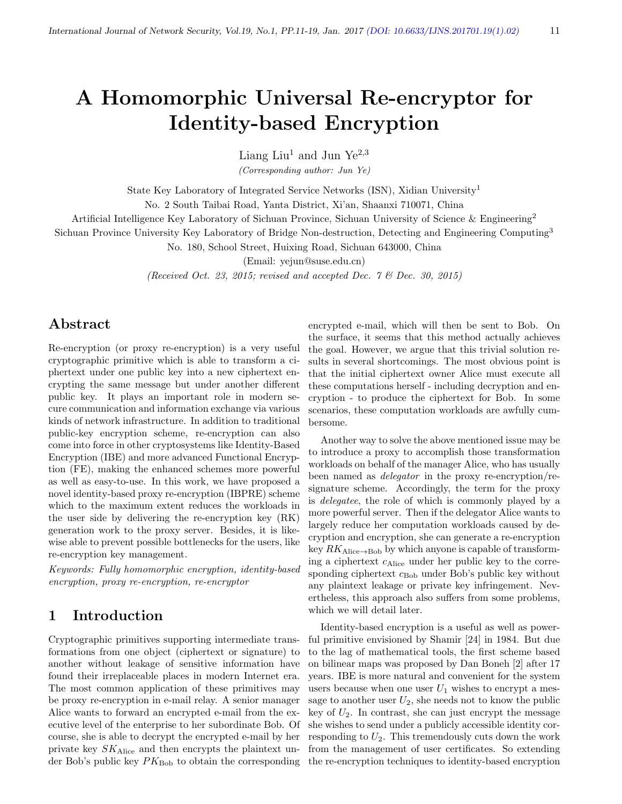# A Homomorphic Universal Re-encryptor for Identity-based Encryption

Liang Liu<sup>1</sup> and Jun Ye<sup>2,3</sup>

(Corresponding author: Jun Ye)

State Key Laboratory of Integrated Service Networks (ISN), Xidian University<sup>1</sup>

No. 2 South Taibai Road, Yanta District, Xi'an, Shaanxi 710071, China

Artificial Intelligence Key Laboratory of Sichuan Province, Sichuan University of Science & Engineering<sup>2</sup>

Sichuan Province University Key Laboratory of Bridge Non-destruction, Detecting and Engineering Computing<sup>3</sup>

No. 180, School Street, Huixing Road, Sichuan 643000, China

(Email: yejun@suse.edu.cn)

(Received Oct. 23, 2015; revised and accepted Dec.  $7 \&$  Dec. 30, 2015)

# Abstract

Re-encryption (or proxy re-encryption) is a very useful cryptographic primitive which is able to transform a ciphertext under one public key into a new ciphertext encrypting the same message but under another different public key. It plays an important role in modern secure communication and information exchange via various kinds of network infrastructure. In addition to traditional public-key encryption scheme, re-encryption can also come into force in other cryptosystems like Identity-Based Encryption (IBE) and more advanced Functional Encryption (FE), making the enhanced schemes more powerful as well as easy-to-use. In this work, we have proposed a novel identity-based proxy re-encryption (IBPRE) scheme which to the maximum extent reduces the workloads in the user side by delivering the re-encryption key (RK) generation work to the proxy server. Besides, it is likewise able to prevent possible bottlenecks for the users, like re-encryption key management.

Keywords: Fully homomorphic encryption, identity-based encryption, proxy re-encryption, re-encryptor

# 1 Introduction

Cryptographic primitives supporting intermediate transformations from one object (ciphertext or signature) to another without leakage of sensitive information have found their irreplaceable places in modern Internet era. The most common application of these primitives may be proxy re-encryption in e-mail relay. A senior manager Alice wants to forward an encrypted e-mail from the executive level of the enterprise to her subordinate Bob. Of course, she is able to decrypt the encrypted e-mail by her private key SKAlice and then encrypts the plaintext under Bob's public key  $PK_{\text{Bob}}$  to obtain the corresponding

encrypted e-mail, which will then be sent to Bob. On the surface, it seems that this method actually achieves the goal. However, we argue that this trivial solution results in several shortcomings. The most obvious point is that the initial ciphertext owner Alice must execute all these computations herself - including decryption and encryption - to produce the ciphertext for Bob. In some scenarios, these computation workloads are awfully cumbersome.

Another way to solve the above mentioned issue may be to introduce a proxy to accomplish those transformation workloads on behalf of the manager Alice, who has usually been named as *delegator* in the proxy re-encryption/resignature scheme. Accordingly, the term for the proxy is delegatee, the role of which is commonly played by a more powerful server. Then if the delegator Alice wants to largely reduce her computation workloads caused by decryption and encryption, she can generate a re-encryption key  $RK_{\text{Alice}\rightarrow\text{Bob}}$  by which anyone is capable of transforming a ciphertext  $c_{\text{Alice}}$  under her public key to the corresponding ciphertext  $c_{\text{Bob}}$  under Bob's public key without any plaintext leakage or private key infringement. Nevertheless, this approach also suffers from some problems, which we will detail later.

Identity-based encryption is a useful as well as powerful primitive envisioned by Shamir [24] in 1984. But due to the lag of mathematical tools, the first scheme based on bilinear maps was proposed by Dan Boneh [2] after 17 years. IBE is more natural and convenient for the system users because when one user  $U_1$  wishes to encrypt a message to another user  $U_2$ , she needs not to know the public key of  $U_2$ . In contrast, she can just encrypt the message she wishes to send under a publicly accessible identity corresponding to  $U_2$ . This tremendously cuts down the work from the management of user certificates. So extending the re-encryption techniques to identity-based encryption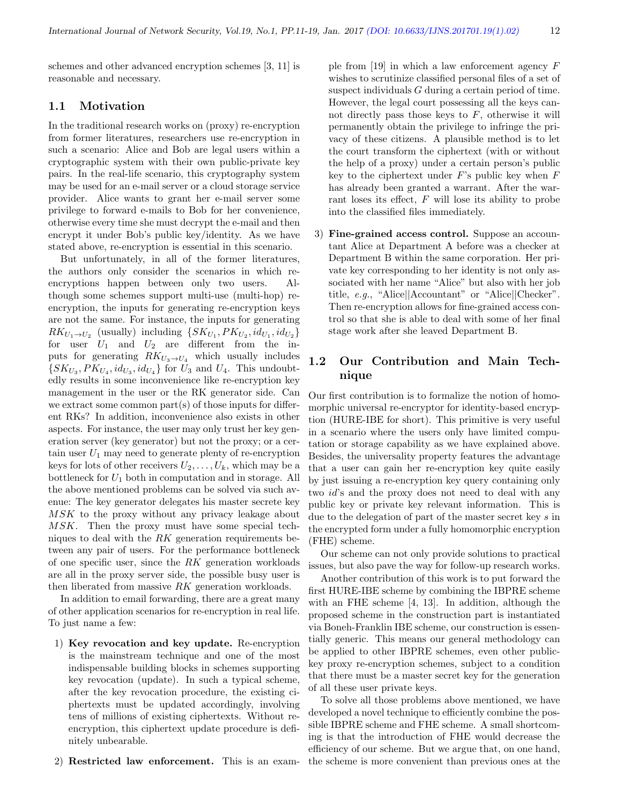schemes and other advanced encryption schemes [3, 11] is reasonable and necessary.

#### 1.1 Motivation

In the traditional research works on (proxy) re-encryption from former literatures, researchers use re-encryption in such a scenario: Alice and Bob are legal users within a cryptographic system with their own public-private key pairs. In the real-life scenario, this cryptography system may be used for an e-mail server or a cloud storage service provider. Alice wants to grant her e-mail server some privilege to forward e-mails to Bob for her convenience, otherwise every time she must decrypt the e-mail and then encrypt it under Bob's public key/identity. As we have stated above, re-encryption is essential in this scenario.

But unfortunately, in all of the former literatures, the authors only consider the scenarios in which reencryptions happen between only two users. Although some schemes support multi-use (multi-hop) reencryption, the inputs for generating re-encryption keys are not the same. For instance, the inputs for generating  $RK_{U_1 \rightarrow U_2}$  (usually) including  $\{SK_{U_1}, PK_{U_2}, id_{U_1}, id_{U_2}\}$ for user  $U_1$  and  $U_2$  are different from the inputs for generating  $RK_{U_3 \to U_4}$  which usually includes  $\{SK_{U_3}, PK_{U_4}, id_{U_3}, id_{U_4}\}$  for  $U_3$  and  $U_4$ . This undoubtedly results in some inconvenience like re-encryption key management in the user or the RK generator side. Can we extract some common part(s) of those inputs for different RKs? In addition, inconvenience also exists in other aspects. For instance, the user may only trust her key generation server (key generator) but not the proxy; or a certain user  $U_1$  may need to generate plenty of re-encryption keys for lots of other receivers  $U_2, \ldots, U_k$ , which may be a bottleneck for  $U_1$  both in computation and in storage. All the above mentioned problems can be solved via such avenue: The key generator delegates his master secrete key MSK to the proxy without any privacy leakage about MSK. Then the proxy must have some special techniques to deal with the RK generation requirements between any pair of users. For the performance bottleneck of one specific user, since the RK generation workloads are all in the proxy server side, the possible busy user is then liberated from massive RK generation workloads.

In addition to email forwarding, there are a great many of other application scenarios for re-encryption in real life. To just name a few:

- 1) Key revocation and key update. Re-encryption is the mainstream technique and one of the most indispensable building blocks in schemes supporting key revocation (update). In such a typical scheme, after the key revocation procedure, the existing ciphertexts must be updated accordingly, involving tens of millions of existing ciphertexts. Without reencryption, this ciphertext update procedure is definitely unbearable.
- 2) Restricted law enforcement. This is an exam-

ple from [19] in which a law enforcement agency F wishes to scrutinize classified personal files of a set of suspect individuals G during a certain period of time. However, the legal court possessing all the keys cannot directly pass those keys to  $F$ , otherwise it will permanently obtain the privilege to infringe the privacy of these citizens. A plausible method is to let the court transform the ciphertext (with or without the help of a proxy) under a certain person's public key to the ciphertext under  $F$ 's public key when  $F$ has already been granted a warrant. After the warrant loses its effect, F will lose its ability to probe into the classified files immediately.

3) Fine-grained access control. Suppose an accountant Alice at Department A before was a checker at Department B within the same corporation. Her private key corresponding to her identity is not only associated with her name "Alice" but also with her job title, e.g., "Alice||Accountant" or "Alice||Checker". Then re-encryption allows for fine-grained access control so that she is able to deal with some of her final stage work after she leaved Department B.

### 1.2 Our Contribution and Main Technique

Our first contribution is to formalize the notion of homomorphic universal re-encryptor for identity-based encryption (HURE-IBE for short). This primitive is very useful in a scenario where the users only have limited computation or storage capability as we have explained above. Besides, the universality property features the advantage that a user can gain her re-encryption key quite easily by just issuing a re-encryption key query containing only two id's and the proxy does not need to deal with any public key or private key relevant information. This is due to the delegation of part of the master secret key s in the encrypted form under a fully homomorphic encryption (FHE) scheme.

Our scheme can not only provide solutions to practical issues, but also pave the way for follow-up research works.

Another contribution of this work is to put forward the first HURE-IBE scheme by combining the IBPRE scheme with an FHE scheme [4, 13]. In addition, although the proposed scheme in the construction part is instantiated via Boneh-Franklin IBE scheme, our construction is essentially generic. This means our general methodology can be applied to other IBPRE schemes, even other publickey proxy re-encryption schemes, subject to a condition that there must be a master secret key for the generation of all these user private keys.

To solve all those problems above mentioned, we have developed a novel technique to efficiently combine the possible IBPRE scheme and FHE scheme. A small shortcoming is that the introduction of FHE would decrease the efficiency of our scheme. But we argue that, on one hand, the scheme is more convenient than previous ones at the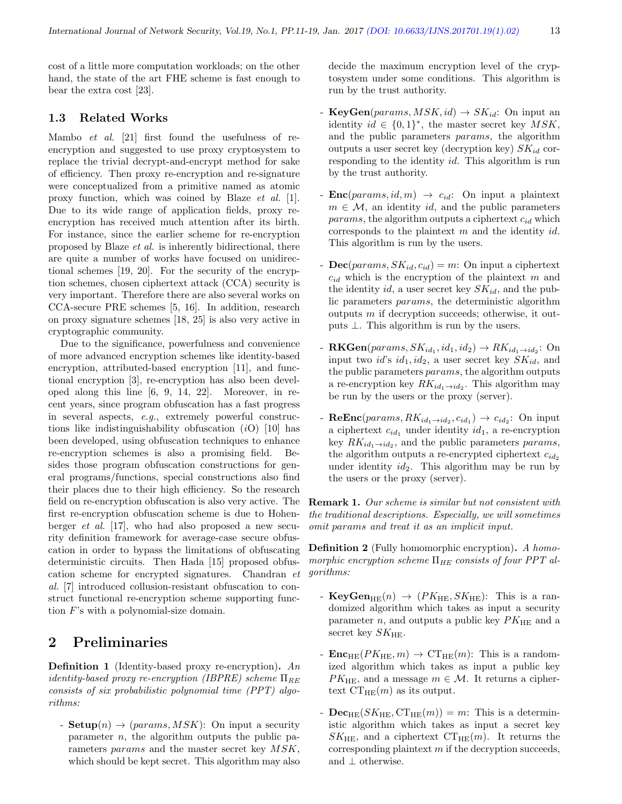cost of a little more computation workloads; on the other hand, the state of the art FHE scheme is fast enough to bear the extra cost [23].

#### 1.3 Related Works

Mambo et al. [21] first found the usefulness of reencryption and suggested to use proxy cryptosystem to replace the trivial decrypt-and-encrypt method for sake of efficiency. Then proxy re-encryption and re-signature were conceptualized from a primitive named as atomic proxy function, which was coined by Blaze et al. [1]. Due to its wide range of application fields, proxy reencryption has received much attention after its birth. For instance, since the earlier scheme for re-encryption proposed by Blaze et al. is inherently bidirectional, there are quite a number of works have focused on unidirectional schemes [19, 20]. For the security of the encryption schemes, chosen ciphertext attack (CCA) security is very important. Therefore there are also several works on CCA-secure PRE schemes [5, 16]. In addition, research on proxy signature schemes [18, 25] is also very active in cryptographic community.

Due to the significance, powerfulness and convenience of more advanced encryption schemes like identity-based encryption, attributed-based encryption [11], and functional encryption [3], re-encryption has also been developed along this line [6, 9, 14, 22]. Moreover, in recent years, since program obfuscation has a fast progress in several aspects, e.g., extremely powerful constructions like indistinguishability obfuscation  $(i)$  [10] has been developed, using obfuscation techniques to enhance re-encryption schemes is also a promising field. Besides those program obfuscation constructions for general programs/functions, special constructions also find their places due to their high efficiency. So the research field on re-encryption obfuscation is also very active. The first re-encryption obfuscation scheme is due to Hohenberger et al. [17], who had also proposed a new security definition framework for average-case secure obfuscation in order to bypass the limitations of obfuscating deterministic circuits. Then Hada [15] proposed obfuscation scheme for encrypted signatures. Chandran et al. [7] introduced collusion-resistant obfuscation to construct functional re-encryption scheme supporting function F's with a polynomial-size domain.

## 2 Preliminaries

**Definition 1** (Identity-based proxy re-encryption). An identity-based proxy re-encryption (IBPRE) scheme  $\Pi_{BE}$ consists of six probabilistic polynomial time (PPT) algorithms:

- **Setup** $(n) \rightarrow (params, MSK)$ : On input a security parameter  $n$ , the algorithm outputs the public parameters params and the master secret key MSK, which should be kept secret. This algorithm may also

decide the maximum encryption level of the cryptosystem under some conditions. This algorithm is run by the trust authority.

- KeyGen(params,  $MSK$ , id)  $\rightarrow SK_{id}$ : On input an identity  $id \in \{0,1\}^*$ , the master secret key  $MSK$ , and the public parameters params, the algorithm outputs a user secret key (decryption key)  $SK_{id}$  corresponding to the identity id. This algorithm is run by the trust authority.
- **Enc**(params, id, m)  $\rightarrow$  c<sub>id</sub>: On input a plaintext  $m \in \mathcal{M}$ , an identity id, and the public parameters *params*, the algorithm outputs a ciphertext  $c_{id}$  which corresponds to the plaintext  $m$  and the identity id. This algorithm is run by the users.
- $\text{Dec}(params, SK_{id}, c_{id}) = m$ : On input a ciphertext  $c_{id}$  which is the encryption of the plaintext m and the identity id, a user secret key  $SK_{id}$ , and the public parameters params, the deterministic algorithm outputs m if decryption succeeds; otherwise, it outputs ⊥. This algorithm is run by the users.
- **RKGen**(params,  $SK_{id_1}, id_1, id_2$ )  $\rightarrow RK_{id_1 \rightarrow id_2}$ : On input two id's  $id_1, id_2$ , a user secret key  $SK_{id}$ , and the public parameters params, the algorithm outputs a re-encryption key  $RK_{id_1 \rightarrow id_2}$ . This algorithm may be run by the users or the proxy (server).
- **ReEnc**( $params, RK_{id_1 \rightarrow id_2}, c_{id_1}$ )  $\rightarrow c_{id_2}$ : On input a ciphertext  $c_{id_1}$  under identity  $id_1$ , a re-encryption key  $RK_{id_1 \rightarrow id_2}$ , and the public parameters params, the algorithm outputs a re-encrypted ciphertext  $c_{id_2}$ under identity  $id_2$ . This algorithm may be run by the users or the proxy (server).

Remark 1. Our scheme is similar but not consistent with the traditional descriptions. Especially, we will sometimes omit params and treat it as an implicit input.

**Definition 2** (Fully homomorphic encryption). A homomorphic encryption scheme  $\Pi_{HE}$  consists of four PPT algorithms:

- KeyGen<sub>HE</sub> $(n) \rightarrow (PK_{HE}, SK_{HE})$ : This is a randomized algorithm which takes as input a security parameter  $n$ , and outputs a public key  $PK_{\text{HE}}$  and a secret key  $SK_{\text{HE}}$ .
- $\mathbf{Enc}_{HE}(PK_{HE}, m) \rightarrow CT_{HE}(m)$ : This is a randomized algorithm which takes as input a public key  $PK_{\text{HE}}$ , and a message  $m \in \mathcal{M}$ . It returns a ciphertext  $CT_{HE}(m)$  as its output.
- $\mathbf{Dec}_{\mathrm{HE}}(SK_{\mathrm{HE}}, \mathrm{CT}_{\mathrm{HE}}(m)) = m$ : This is a deterministic algorithm which takes as input a secret key  $SK_{\text{HE}}$ , and a ciphertext  $CT_{\text{HE}}(m)$ . It returns the corresponding plaintext  $m$  if the decryption succeeds, and ⊥ otherwise.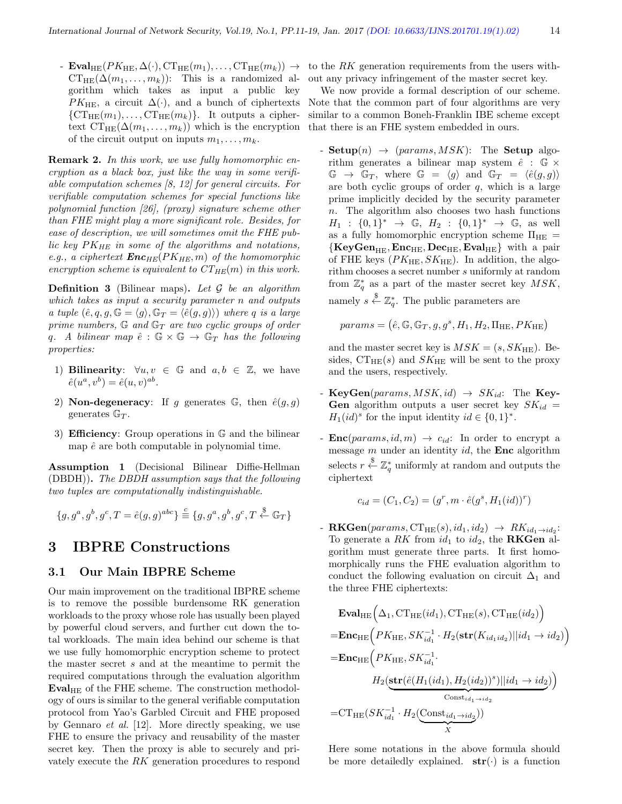-  $\text{Eval}_{\text{HE}}(PK_{\text{HE}},\Delta(\cdot),\text{CT}_{\text{HE}}(m_1),\ldots,\text{CT}_{\text{HE}}(m_k)) \rightarrow$  $CT_{\text{HE}}(\Delta(m_1,\ldots,m_k))$ : This is a randomized algorithm which takes as input a public key  $PK_{\text{HE}}$ , a circuit  $\Delta(\cdot)$ , and a bunch of ciphertexts  $\{CT_{HE}(m_1), \ldots, CT_{HE}(m_k)\}\$ . It outputs a ciphertext  $CT_{HE}(\Delta(m_1,\ldots,m_k))$  which is the encryption of the circuit output on inputs  $m_1, \ldots, m_k$ .

**Remark 2.** In this work, we use fully homomorphic encryption as a black box, just like the way in some verifiable computation schemes [8, 12] for general circuits. For verifiable computation schemes for special functions like polynomial function [26], (proxy) signature scheme other than FHE might play a more significant role. Besides, for ease of description, we will sometimes omit the FHE public key  $PK_{HE}$  in some of the algorithms and notations, e.g., a ciphertext  $\boldsymbol{Enc}_{HE}(PK_{HE}, m)$  of the homomorphic encryption scheme is equivalent to  $CT_{HE}(m)$  in this work.

**Definition 3** (Bilinear maps). Let  $\mathcal G$  be an algorithm which takes as input a security parameter n and outputs a tuple  $(\hat{e}, q, g, \mathbb{G} = \langle g \rangle, \mathbb{G}_T = \langle \hat{e}(g, g) \rangle)$  where q is a large prime numbers,  $\mathbb{G}$  and  $\mathbb{G}_T$  are two cyclic groups of order q. A bilinear map  $\hat{e}$ :  $\mathbb{G} \times \mathbb{G} \rightarrow \mathbb{G}_T$  has the following properties:

- 1) Bilinearity:  $\forall u, v \in \mathbb{G}$  and  $a, b \in \mathbb{Z}$ , we have  $\hat{e}(u^a, v^b) = \hat{e}(u, v)^{ab}.$
- 2) **Non-degeneracy**: If g generates  $\mathbb{G}$ , then  $\hat{e}(q, q)$ generates  $\mathbb{G}_T$ .
- 3) **Efficiency**: Group operations in  $\mathbb{G}$  and the bilinear map  $\hat{e}$  are both computable in polynomial time.

Assumption 1 (Decisional Bilinear Diffie-Hellman (DBDH)). The DBDH assumption says that the following two tuples are computationally indistinguishable.

$$
\{g,g^a,g^b,g^c,T=\hat{e}(g,g)^{abc}\} \stackrel{c}{\equiv} \{g,g^a,g^b,g^c,T \stackrel{\$}{\leftarrow} \mathbb{G}_T\}
$$

## 3 IBPRE Constructions

#### 3.1 Our Main IBPRE Scheme

Our main improvement on the traditional IBPRE scheme is to remove the possible burdensome RK generation workloads to the proxy whose role has usually been played by powerful cloud servers, and further cut down the total workloads. The main idea behind our scheme is that we use fully homomorphic encryption scheme to protect the master secret s and at the meantime to permit the required computations through the evaluation algorithm  $Eval_{HE}$  of the FHE scheme. The construction methodology of ours is similar to the general verifiable computation protocol from Yao's Garbled Circuit and FHE proposed by Gennaro et al. [12]. More directly speaking, we use FHE to ensure the privacy and reusability of the master secret key. Then the proxy is able to securely and privately execute the RK generation procedures to respond

to the RK generation requirements from the users without any privacy infringement of the master secret key.

We now provide a formal description of our scheme. Note that the common part of four algorithms are very similar to a common Boneh-Franklin IBE scheme except that there is an FHE system embedded in ours.

- **: The <b>Setup** algorithm generates a bilinear map system  $\hat{e}$  :  $\mathbb{G} \times$  $\mathbb{G} \rightarrow \mathbb{G}_T$ , where  $\mathbb{G} = \langle g \rangle$  and  $\mathbb{G}_T = \langle \hat{e}(g, g) \rangle$ are both cyclic groups of order  $q$ , which is a large prime implicitly decided by the security parameter n. The algorithm also chooses two hash functions  $H_1 : \{0,1\}^* \to \mathbb{G}, H_2 : \{0,1\}^* \to \mathbb{G}, \text{ as well}$ as a fully homomorphic encryption scheme  $\Pi_{\text{HE}} =$  ${KeyGen}_{HF}$ ,  $Enc_{HE}$ ,  $Dec_{HE}$ ,  $Eval_{HE}$  with a pair of FHE keys  $(PK_{\text{HE}}, SK_{\text{HE}})$ . In addition, the algorithm chooses a secret number s uniformly at random from  $\mathbb{Z}_q^*$  as a part of the master secret key  $MSK$ , namely  $s \stackrel{\$}{\leftarrow} \mathbb{Z}_q^*$ . The public parameters are

$$
params = (\hat{e}, \mathbb{G}, \mathbb{G}_T, g, g^s, H_1, H_2, \Pi_{\text{HE}}, PK_{\text{HE}})
$$

and the master secret key is  $MSK = (s, SK_{HE})$ . Besides,  $CT_{HE}(s)$  and  $SK_{HE}$  will be sent to the proxy and the users, respectively.

- KeyGen(params,  $MSK$ , id)  $\rightarrow SK_{id}$ : The Key-Gen algorithm outputs a user secret key  $SK_{id}$  =  $H_1(id)^s$  for the input identity  $id \in \{0,1\}^*.$
- **Enc**(params, id, m)  $\rightarrow$  c<sub>id</sub>: In order to encrypt a message  $m$  under an identity  $id$ , the **Enc** algorithm selects  $r \stackrel{\$}{\leftarrow} \mathbb{Z}_q^*$  uniformly at random and outputs the ciphertext

$$
c_{id} = (C_1, C_2) = (g^r, m \cdot \hat{e}(g^s, H_1(id))^r)
$$

- **RKGen**(params,  $CT_{HE}(s)$ ,  $id_1$ ,  $id_2$ )  $\rightarrow$   $RK_{id_1 \rightarrow id_2}$ : To generate a  $RK$  from  $id_1$  to  $id_2$ , the **RKGen** algorithm must generate three parts. It first homomorphically runs the FHE evaluation algorithm to conduct the following evaluation on circuit  $\Delta_1$  and the three FHE ciphertexts:

$$
\begin{aligned}\n\textbf{Eval}_{\text{HE}}\Big(\Delta_1,\text{CT}_{\text{HE}}(id_1),\text{CT}_{\text{HE}}(s),\text{CT}_{\text{HE}}(id_2)\Big) \\
&=\textbf{Enc}_{\text{HE}}\Big(PK_{\text{HE}},SK_{id_1}^{-1}\cdot H_2(\textbf{str}(K_{id_1id_2})||id_1\rightarrow id_2)\Big) \\
&=\textbf{Enc}_{\text{HE}}\Big(PK_{\text{HE}},SK_{id_1}^{-1}\cdot H_2(\textbf{str}(id_2))^s)||id_1\rightarrow id_2\Big) \\
&H_2(\textbf{str}(\hat{e}(H_1(id_1),H_2(id_2))^s)||id_1\rightarrow id_2)\Big) \\
&=\text{CT}_{\text{HE}}(SK_{id_1}^{-1}\cdot H_2(\underbrace{\text{Const}_{id_1\rightarrow id_2})}_{X})\end{aligned}
$$

Here some notations in the above formula should be more detailedly explained.  $str(\cdot)$  is a function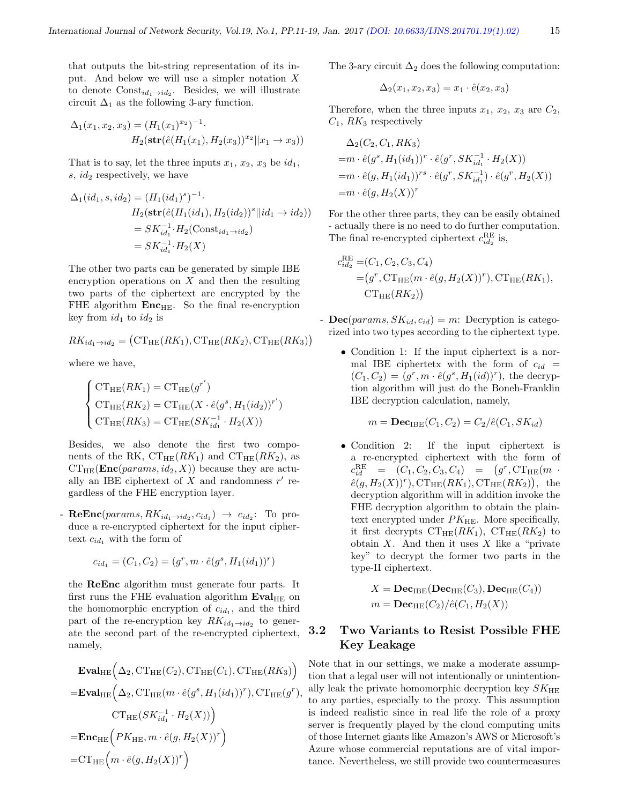that outputs the bit-string representation of its input. And below we will use a simpler notation X to denote  $Const_{id_1 \rightarrow id_2}$ . Besides, we will illustrate circuit  $\Delta_1$  as the following 3-ary function.

$$
\Delta_1(x_1, x_2, x_3) = (H_1(x_1)^{x_2})^{-1}.
$$
  
\n
$$
H_2(\text{str}(\hat{e}(H_1(x_1), H_2(x_3))^{x_2} || x_1 \to x_3))
$$

That is to say, let the three inputs  $x_1, x_2, x_3$  be  $id_1$ , s,  $id_2$  respectively, we have

$$
\Delta_1(id_1, s, id_2) = (H_1(id_1)^s)^{-1}.
$$
  
\n
$$
H_2(\text{str}(\hat{e}(H_1(id_1), H_2(id_2))^s || id_1 \to id_2))
$$
  
\n
$$
= SK_{id_1}^{-1} \cdot H_2(\text{Const}_{id_1 \to id_2})
$$
  
\n
$$
= SK_{id_1}^{-1} \cdot H_2(X)
$$

The other two parts can be generated by simple IBE encryption operations on  $X$  and then the resulting two parts of the ciphertext are encrypted by the FHE algorithm  $Enc_{HE}$ . So the final re-encryption key from  $id_1$  to  $id_2$  is

$$
RK_{id_1 \to id_2} = (\mathrm{CT}_{\mathrm{HE}}(RK_1), \mathrm{CT}_{\mathrm{HE}}(RK_2), \mathrm{CT}_{\mathrm{HE}}(RK_3))
$$

where we have,

$$
\begin{cases}\nCT_{\text{HE}}(RK_1) = CT_{\text{HE}}(g^{r'}) \\
CT_{\text{HE}}(RK_2) = CT_{\text{HE}}(X \cdot \hat{e}(g^s, H_1(id_2)))^{r'}) \\
CT_{\text{HE}}(RK_3) = CT_{\text{HE}}(SK_{id_1}^{-1} \cdot H_2(X))\n\end{cases}
$$

Besides, we also denote the first two components of the RK,  $CT_{HE}(RK_1)$  and  $CT_{HE}(RK_2)$ , as  $CT_{HE}(\text{Enc}(params, id_2, X))$  because they are actually an IBE ciphertext of  $X$  and randomness  $r'$  regardless of the FHE encryption layer.

- **ReEnc**( $params, RK_{id_1 \rightarrow id_2}, c_{id_1}) \rightarrow c_{id_2}$ : To produce a re-encrypted ciphertext for the input ciphertext  $c_{id_1}$  with the form of

$$
c_{id_1} = (C_1, C_2) = (g^r, m \cdot \hat{e}(g^s, H_1(id_1))^r)
$$

the ReEnc algorithm must generate four parts. It first runs the FHE evaluation algorithm  $Eval<sub>HE</sub>$  on the homomorphic encryption of  $c_{id_1}$ , and the third part of the re-encryption key  $RK_{id_1 \rightarrow id_2}$  to generate the second part of the re-encrypted ciphertext, namely,

$$
\begin{aligned}\n\textbf{Eval}_{\text{HE}}\Big(\Delta_2,\text{CT}_{\text{HE}}(C_2),\text{CT}_{\text{HE}}(C_1),\text{CT}_{\text{HE}}(RK_3)\Big) \\
&=\textbf{Eval}_{\text{HE}}\Big(\Delta_2,\text{CT}_{\text{HE}}(m\cdot\hat{e}(g^s,H_1(id_1))^r),\text{CT}_{\text{HE}}(g^r),\\
\text{CT}_{\text{HE}}(SK_{id_1}^{-1}\cdot H_2(X))\Big) \\
&=\textbf{Enc}_{\text{HE}}\Big(PK_{\text{HE}},m\cdot\hat{e}(g,H_2(X))^r\Big) \\
&=\text{CT}_{\text{HE}}\Big(m\cdot\hat{e}(g,H_2(X))^r\Big)\n\end{aligned}
$$

The 3-ary circuit  $\Delta_2$  does the following computation:

$$
\Delta_2(x_1, x_2, x_3) = x_1 \cdot \hat{e}(x_2, x_3)
$$

Therefore, when the three inputs  $x_1, x_2, x_3$  are  $C_2$ ,  $C_1$ ,  $RK_3$  respectively

$$
\Delta_2(C_2, C_1, RK_3)
$$
  
= $m \cdot \hat{e}(g^s, H_1(id_1))^r \cdot \hat{e}(g^r, SK_{id_1}^{-1} \cdot H_2(X))$   
= $m \cdot \hat{e}(g, H_1(id_1))^{rs} \cdot \hat{e}(g^r, SK_{id_1}^{-1}) \cdot \hat{e}(g^r, H_2(X))$   
= $m \cdot \hat{e}(g, H_2(X))^r$ 

For the other three parts, they can be easily obtained - actually there is no need to do further computation. The final re-encrypted ciphertext  $c_{id_2}^{\text{RE}}$  is,

<sub>R</sub>

$$
c_{id_2}^{RE} = (C_1, C_2, C_3, C_4)
$$
  
=  $(g^r, \text{CT}_{HE}(m \cdot \hat{e}(g, H_2(X))^r), \text{CT}_{HE}(RK_1),$   
 $\text{CT}_{HE}(RK_2))$ 

- $\text{Dec}(params, SK_{id}, c_{id}) = m$ : Decryption is categorized into two types according to the ciphertext type.
	- Condition 1: If the input ciphertext is a normal IBE ciphertetx with the form of  $c_{id}$  =  $(C_1, C_2) = (g^r, m \cdot \hat{e}(g^s, H_1(id))^r)$ , the decryption algorithm will just do the Boneh-Franklin IBE decryption calculation, namely,

$$
m = \mathbf{Dec}_{\mathrm{IBE}}(C_1, C_2) = C_2/\hat{e}(C_1, SK_{id})
$$

• Condition 2: If the input ciphertext is a re-encrypted ciphertext with the form of  $c_{id}^{\text{RE}} = (C_1, C_2, C_3, C_4) = (g^r, \text{CT}_{\text{HE}}(m \cdot$  $\hat{e}(g, H_2(X))^r$ ,  $CT_{HE}(RK_1)$ ,  $CT_{HE}(RK_2)$ , the decryption algorithm will in addition invoke the FHE decryption algorithm to obtain the plaintext encrypted under  $PK_{\text{HE}}$ . More specifically, it first decrypts  $CT_{HE}(RK_1)$ ,  $CT_{HE}(RK_2)$  to obtain  $X$ . And then it uses  $X$  like a "private" key" to decrypt the former two parts in the type-II ciphertext.

$$
X = \mathbf{Dec}_{\mathrm{IBE}}(\mathbf{Dec}_{\mathrm{HE}}(C_3), \mathbf{Dec}_{\mathrm{HE}}(C_4))
$$
  

$$
m = \mathbf{Dec}_{\mathrm{HE}}(C_2)/\hat{e}(C_1, H_2(X))
$$

## 3.2 Two Variants to Resist Possible FHE Key Leakage

Note that in our settings, we make a moderate assumption that a legal user will not intentionally or unintentionally leak the private homomorphic decryption key  $SK_{\text{HE}}$ to any parties, especially to the proxy. This assumption is indeed realistic since in real life the role of a proxy server is frequently played by the cloud computing units of those Internet giants like Amazon's AWS or Microsoft's Azure whose commercial reputations are of vital importance. Nevertheless, we still provide two countermeasures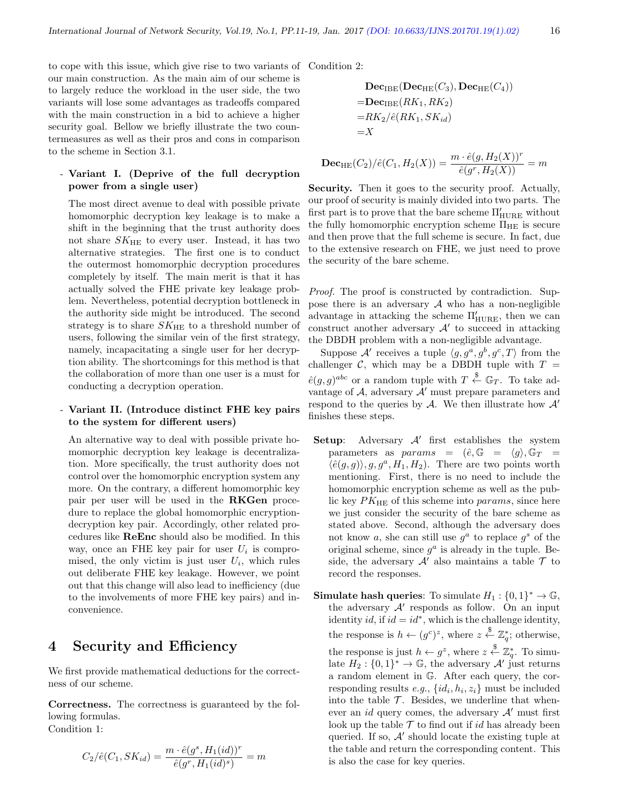to cope with this issue, which give rise to two variants of Condition 2: our main construction. As the main aim of our scheme is to largely reduce the workload in the user side, the two variants will lose some advantages as tradeoffs compared with the main construction in a bid to achieve a higher security goal. Bellow we briefly illustrate the two countermeasures as well as their pros and cons in comparison to the scheme in Section 3.1.

#### - Variant I. (Deprive of the full decryption power from a single user)

The most direct avenue to deal with possible private homomorphic decryption key leakage is to make a shift in the beginning that the trust authority does not share  $SK_{HE}$  to every user. Instead, it has two alternative strategies. The first one is to conduct the outermost homomorphic decryption procedures completely by itself. The main merit is that it has actually solved the FHE private key leakage problem. Nevertheless, potential decryption bottleneck in the authority side might be introduced. The second strategy is to share  $SK_{HE}$  to a threshold number of users, following the similar vein of the first strategy, namely, incapacitating a single user for her decryption ability. The shortcomings for this method is that the collaboration of more than one user is a must for conducting a decryption operation.

#### - Variant II. (Introduce distinct FHE key pairs to the system for different users)

An alternative way to deal with possible private homomorphic decryption key leakage is decentralization. More specifically, the trust authority does not control over the homomorphic encryption system any more. On the contrary, a different homomorphic key pair per user will be used in the RKGen procedure to replace the global homomorphic encryptiondecryption key pair. Accordingly, other related procedures like ReEnc should also be modified. In this way, once an FHE key pair for user  $U_i$  is compromised, the only victim is just user  $U_i$ , which rules out deliberate FHE key leakage. However, we point out that this change will also lead to inefficiency (due to the involvements of more FHE key pairs) and inconvenience.

## 4 Security and Efficiency

We first provide mathematical deductions for the correctness of our scheme.

Correctness. The correctness is guaranteed by the following formulas. Condition 1:

$$
C_2/\hat{e}(C_1, SK_{id}) = \frac{m \cdot \hat{e}(g^s, H_1(id))^r}{\hat{e}(g^r, H_1(id)^s)} = m
$$

$$
\begin{aligned} \n\textbf{Dec}_{\text{IBE}}(\textbf{Dec}_{\text{HE}}(C_3), \textbf{Dec}_{\text{HE}}(C_4))\\ \n&= \textbf{Dec}_{\text{IBE}}(RK_1, RK_2) \\ \n&= RK_2/\hat{e}(RK_1, SK_{id}) \\ \n&= X \n\end{aligned}
$$

$$
\mathbf{Dec}_{\mathrm{HE}}(C_2)/\hat{e}(C_1, H_2(X)) = \frac{m \cdot \hat{e}(g, H_2(X))^r}{\hat{e}(g^r, H_2(X))} = m
$$

Security. Then it goes to the security proof. Actually, our proof of security is mainly divided into two parts. The first part is to prove that the bare scheme  $\Pi'_{\rm HURE}$  without the fully homomorphic encryption scheme  $\Pi_{\text{HE}}$  is secure and then prove that the full scheme is secure. In fact, due to the extensive research on FHE, we just need to prove the security of the bare scheme.

Proof. The proof is constructed by contradiction. Suppose there is an adversary  $A$  who has a non-negligible advantage in attacking the scheme  $\Pi'_{\rm HURE},$  then we can construct another adversary  $A'$  to succeed in attacking the DBDH problem with a non-negligible advantage.

Suppose A' receives a tuple  $\langle g, g^a, g^b, g^c, T \rangle$  from the challenger C, which may be a DBDH tuple with  $T =$  $\hat{e}(g,g)^{abc}$  or a random tuple with  $T \stackrel{\$}{\leftarrow} \mathbb{G}_T$ . To take advantage of  $A$ , adversary  $A'$  must prepare parameters and respond to the queries by A. We then illustrate how  $A'$ finishes these steps.

- Setup: Adversary  $A'$  first establishes the system parameters as params =  $(\hat{e}, \mathbb{G} = \langle q \rangle, \mathbb{G}_T =$  $\langle \hat{e}(g, g) \rangle, g, g^a, H_1, H_2$ . There are two points worth mentioning. First, there is no need to include the homomorphic encryption scheme as well as the public key  $PK_{\text{HE}}$  of this scheme into params, since here we just consider the security of the bare scheme as stated above. Second, although the adversary does not know a, she can still use  $g^a$  to replace  $g^s$  of the original scheme, since  $g^a$  is already in the tuple. Beside, the adversary  $A'$  also maintains a table  $\mathcal T$  to record the responses.
- **Simulate hash queries:** To simulate  $H_1: \{0,1\}^* \to \mathbb{G}$ , the adversary  $A'$  responds as follow. On an input identity id, if  $id = id^*$ , which is the challenge identity, the response is  $h \leftarrow (g^c)^z$ , where  $z \stackrel{\$}{\leftarrow} \mathbb{Z}_q^*$ ; otherwise, the response is just  $h \leftarrow g^z$ , where  $z \stackrel{\$}{\leftarrow} \mathbb{Z}_q^*$ . To simulate  $H_2: \{0,1\}^* \to \mathbb{G}$ , the adversary  $\mathcal{A}'$  just returns a random element in G. After each query, the corresponding results  $e.g., \{id_i, h_i, z_i\}$  must be included into the table  $\mathcal T$ . Besides, we underline that whenever an *id* query comes, the adversary  $\mathcal{A}'$  must first look up the table  $\mathcal T$  to find out if id has already been queried. If so,  $A'$  should locate the existing tuple at the table and return the corresponding content. This is also the case for key queries.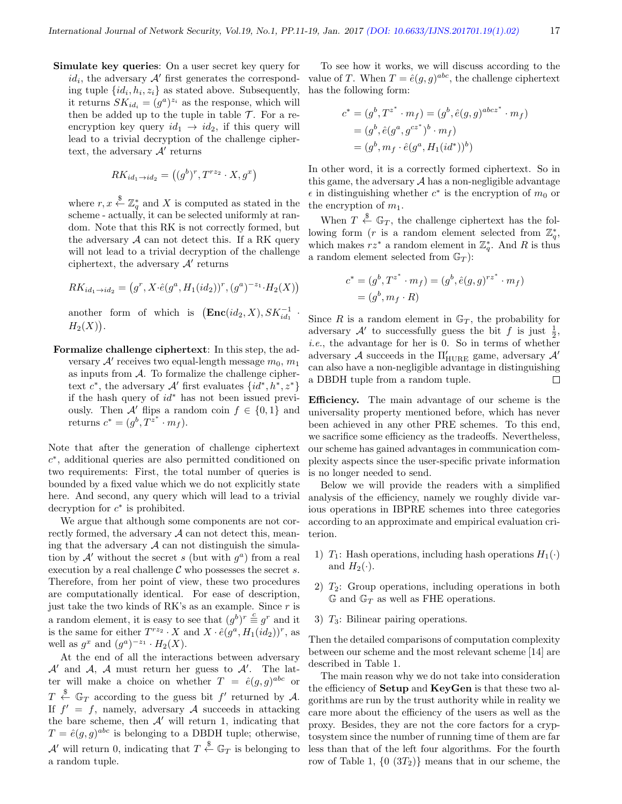·

Simulate key queries: On a user secret key query for  $id_i$ , the adversary  $A'$  first generates the corresponding tuple  $\{id_i, h_i, z_i\}$  as stated above. Subsequently, it returns  $SK_{id_i} = (g^a)^{z_i}$  as the response, which will then be added up to the tuple in table  $\mathcal T$ . For a reencryption key query  $id_1 \rightarrow id_2$ , if this query will lead to a trivial decryption of the challenge ciphertext, the adversary  $A'$  returns

$$
RK_{id_1 \to id_2} = ((g^b)^r, T^{r z_2} \cdot X, g^x)
$$

where  $r, x \stackrel{\$}{\leftarrow} \mathbb{Z}_q^*$  and X is computed as stated in the scheme - actually, it can be selected uniformly at random. Note that this RK is not correctly formed, but the adversary  $A$  can not detect this. If a RK query will not lead to a trivial decryption of the challenge ciphertext, the adversary  $A'$  returns

$$
RK_{id_1 \to id_2} = (g^r, X \cdot \hat{e}(g^a, H_1(id_2))^r, (g^a)^{-z_1} \cdot H_2(X))
$$

another form of which is  $(\mathbf{Enc}(id_2, X), SK_{id_1}^{-1})$  $H_2(X)$ ).

Formalize challenge ciphertext: In this step, the adversary  $A'$  receives two equal-length message  $m_0$ ,  $m_1$ as inputs from  $A$ . To formalize the challenge ciphertext  $c^*$ , the adversary  $\mathcal{A}'$  first evaluates  $\{id^*, h^*, z^*\}$ if the hash query of  $id^*$  has not been issued previously. Then A' flips a random coin  $f \in \{0,1\}$  and returns  $c^* = (g^b, T^{z^*} \cdot m_f).$ 

Note that after the generation of challenge ciphertext c ∗ , additional queries are also permitted conditioned on two requirements: First, the total number of queries is bounded by a fixed value which we do not explicitly state here. And second, any query which will lead to a trivial decryption for  $c^*$  is prohibited.

We argue that although some components are not correctly formed, the adversary  $A$  can not detect this, meaning that the adversary  $A$  can not distinguish the simulation by  $\mathcal{A}'$  without the secret s (but with  $g^a$ ) from a real execution by a real challenge  $C$  who possesses the secret s. Therefore, from her point of view, these two procedures are computationally identical. For ease of description, just take the two kinds of RK's as an example. Since  $r$  is a random element, it is easy to see that  $(g^b)^r \stackrel{c}{\equiv} g^r$  and it is the same for either  $T^{rz_2} \cdot X$  and  $X \cdot \hat{e}(g^a, H_1(id_2))^r$ , as well as  $g^x$  and  $(g^a)^{-z_1} \cdot H_2(X)$ .

At the end of all the interactions between adversary  $\mathcal{A}'$  and  $\mathcal{A}, \mathcal{A}$  must return her guess to  $\mathcal{A}'$ . The latter will make a choice on whether  $T = \hat{e}(g, g)^{abc}$  or  $T \stackrel{\$}{\leftarrow} \mathbb{G}_T$  according to the guess bit f' returned by A. If  $f' = f$ , namely, adversary A succeeds in attacking the bare scheme, then  $A'$  will return 1, indicating that  $T = \hat{e}(g, g)^{abc}$  is belonging to a DBDH tuple; otherwise,  $\mathcal{A}'$  will return 0, indicating that  $T \stackrel{\$}{\leftarrow} \mathbb{G}_T$  is belonging to a random tuple.

To see how it works, we will discuss according to the value of T. When  $T = \hat{e}(g, g)^{abc}$ , the challenge ciphertext has the following form:

$$
c^* = (g^b, T^{z^*} \cdot m_f) = (g^b, \hat{e}(g, g)^{abcz^*} \cdot m_f)
$$
  
=  $(g^b, \hat{e}(g^a, g^{cz^*})^b \cdot m_f)$   
=  $(g^b, m_f \cdot \hat{e}(g^a, H_1(id^*))^b)$ 

In other word, it is a correctly formed ciphertext. So in this game, the adversary  $A$  has a non-negligible advantage  $\epsilon$  in distinguishing whether  $c^*$  is the encryption of  $m_0$  or the encryption of  $m_1$ .

When  $T \stackrel{\$}{\leftarrow} \mathbb{G}_T$ , the challenge ciphertext has the following form (*r* is a random element selected from  $\mathbb{Z}_q^*$ , which makes  $rz^*$  a random element in  $\mathbb{Z}_q^*$ . And R is thus a random element selected from  $\mathbb{G}_T$ :

$$
c^* = (g^b, T^{z^*} \cdot m_f) = (g^b, \hat{e}(g, g)^{rz^*} \cdot m_f)
$$
  
=  $(g^b, m_f \cdot R)$ 

Since R is a random element in  $\mathbb{G}_T$ , the probability for adversary  $\mathcal{A}'$  to successfully guess the bit f is just  $\frac{1}{2}$ , i.e., the advantage for her is 0. So in terms of whether adversary  ${\mathcal A}$  succeeds in the  $\Pi_{\rm HURE}'$  game, adversary  ${\mathcal A}'$ can also have a non-negligible advantage in distinguishing a DBDH tuple from a random tuple. П

Efficiency. The main advantage of our scheme is the universality property mentioned before, which has never been achieved in any other PRE schemes. To this end, we sacrifice some efficiency as the tradeoffs. Nevertheless, our scheme has gained advantages in communication complexity aspects since the user-specific private information is no longer needed to send.

Below we will provide the readers with a simplified analysis of the efficiency, namely we roughly divide various operations in IBPRE schemes into three categories according to an approximate and empirical evaluation criterion.

- 1)  $T_1$ : Hash operations, including hash operations  $H_1(\cdot)$ and  $H_2(\cdot)$ .
- 2)  $T_2$ : Group operations, including operations in both  $\mathbb{G}$  and  $\mathbb{G}_T$  as well as FHE operations.
- 3)  $T_3$ : Bilinear pairing operations.

Then the detailed comparisons of computation complexity between our scheme and the most relevant scheme [14] are described in Table 1.

The main reason why we do not take into consideration the efficiency of Setup and KeyGen is that these two algorithms are run by the trust authority while in reality we care more about the efficiency of the users as well as the proxy. Besides, they are not the core factors for a cryptosystem since the number of running time of them are far less than that of the left four algorithms. For the fourth row of Table 1,  $\{0 \ (3T_2)\}\$  means that in our scheme, the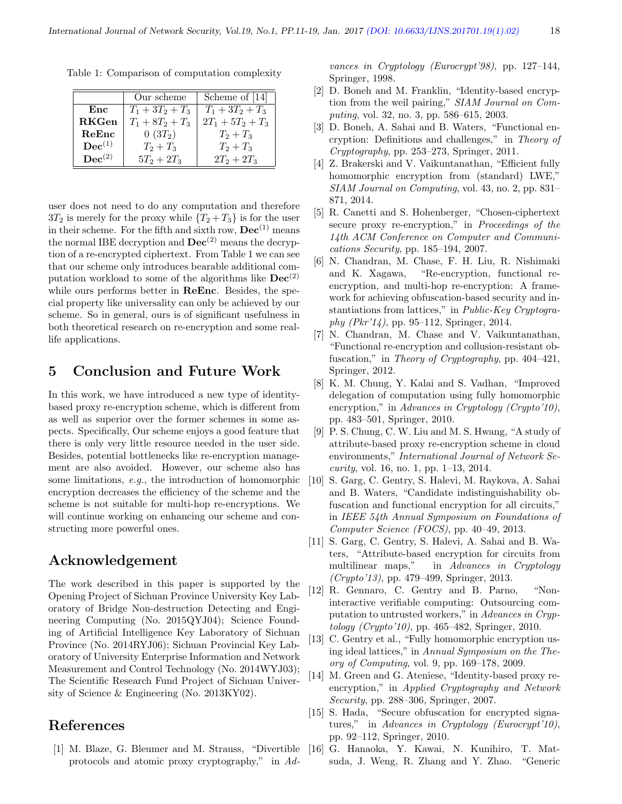|                      | Our scheme         | Scheme of [14]      |
|----------------------|--------------------|---------------------|
| Enc                  | $T_1 + 3T_2 + T_3$ | $T_1 + 3T_2 + T_3$  |
| <b>RKGen</b>         | $T_1 + 8T_2 + T_3$ | $2T_1 + 5T_2 + T_3$ |
| ReEnc                | $0(3T_2)$          | $T_2 + T_3$         |
| $\mathbf{Dec}^{(1)}$ | $T_2 + T_3$        | $T_2 + T_3$         |
| $\mathbf{Dec}^{(2)}$ | $5T_2 + 2T_3$      | $2T_2 + 2T_3$       |

Table 1: Comparison of computation complexity

user does not need to do any computation and therefore  $3T_2$  is merely for the proxy while  $\{T_2 + T_3\}$  is for the user in their scheme. For the fifth and sixth row,  $\text{Dec}^{(1)}$  means the normal IBE decryption and  $\text{Dec}^{(2)}$  means the decryption of a re-encrypted ciphertext. From Table 1 we can see that our scheme only introduces bearable additional computation workload to some of the algorithms like  $\text{Dec}^{(2)}$ while ours performs better in ReEnc. Besides, the special property like universality can only be achieved by our scheme. So in general, ours is of significant usefulness in both theoretical research on re-encryption and some reallife applications.

## 5 Conclusion and Future Work

In this work, we have introduced a new type of identitybased proxy re-encryption scheme, which is different from as well as superior over the former schemes in some aspects. Specifically, Our scheme enjoys a good feature that there is only very little resource needed in the user side. Besides, potential bottlenecks like re-encryption management are also avoided. However, our scheme also has some limitations, e.g., the introduction of homomorphic encryption decreases the efficiency of the scheme and the scheme is not suitable for multi-hop re-encryptions. We will continue working on enhancing our scheme and constructing more powerful ones.

# Acknowledgement

The work described in this paper is supported by the Opening Project of Sichuan Province University Key Laboratory of Bridge Non-destruction Detecting and Engineering Computing (No. 2015QYJ04); Science Founding of Artificial Intelligence Key Laboratory of Sichuan Province (No. 2014RYJ06); Sichuan Provincial Key Laboratory of University Enterprise Information and Network Measurement and Control Technology (No. 2014WYJ03); The Scientific Research Fund Project of Sichuan University of Science & Engineering (No. 2013KY02).

# References

[1] M. Blaze, G. Bleumer and M. Strauss, "Divertible protocols and atomic proxy cryptography," in Advances in Cryptology (Eurocrypt'98), pp. 127–144, Springer, 1998.

- [2] D. Boneh and M. Franklin, "Identity-based encryption from the weil pairing," SIAM Journal on Computing, vol. 32, no. 3, pp. 586–615, 2003.
- [3] D. Boneh, A. Sahai and B. Waters, "Functional encryption: Definitions and challenges," in Theory of Cryptography, pp. 253–273, Springer, 2011.
- [4] Z. Brakerski and V. Vaikuntanathan, "Efficient fully homomorphic encryption from (standard) LWE," SIAM Journal on Computing, vol. 43, no. 2, pp. 831– 871, 2014.
- [5] R. Canetti and S. Hohenberger, "Chosen-ciphertext secure proxy re-encryption," in Proceedings of the 14th ACM Conference on Computer and Communications Security, pp. 185–194, 2007.
- [6] N. Chandran, M. Chase, F. H. Liu, R. Nishimaki and K. Xagawa, "Re-encryption, functional reencryption, and multi-hop re-encryption: A framework for achieving obfuscation-based security and instantiations from lattices," in Public-Key Cryptography (Pkr'14), pp. 95–112, Springer, 2014.
- [7] N. Chandran, M. Chase and V. Vaikuntanathan, "Functional re-encryption and collusion-resistant obfuscation," in Theory of Cryptography, pp. 404–421, Springer, 2012.
- [8] K. M. Chung, Y. Kalai and S. Vadhan, "Improved delegation of computation using fully homomorphic encryption," in Advances in Cryptology (Crypto'10), pp. 483–501, Springer, 2010.
- [9] P. S. Chung, C. W. Liu and M. S. Hwang, "A study of attribute-based proxy re-encryption scheme in cloud environments," International Journal of Network Security, vol. 16, no. 1, pp. 1–13, 2014.
- [10] S. Garg, C. Gentry, S. Halevi, M. Raykova, A. Sahai and B. Waters, "Candidate indistinguishability obfuscation and functional encryption for all circuits," in IEEE 54th Annual Symposium on Foundations of Computer Science (FOCS), pp. 40–49, 2013.
- [11] S. Garg, C. Gentry, S. Halevi, A. Sahai and B. Waters, "Attribute-based encryption for circuits from multilinear maps," in Advances in Cryptology (Crypto'13), pp. 479–499, Springer, 2013.
- [12] R. Gennaro, C. Gentry and B. Parno, "Noninteractive verifiable computing: Outsourcing computation to untrusted workers," in Advances in Cryptology (Crypto'10), pp. 465–482, Springer, 2010.
- [13] C. Gentry et al., "Fully homomorphic encryption using ideal lattices," in Annual Symposium on the Theory of Computing, vol. 9, pp. 169–178, 2009.
- [14] M. Green and G. Ateniese, "Identity-based proxy reencryption," in Applied Cryptography and Network Security, pp. 288–306, Springer, 2007.
- [15] S. Hada, "Secure obfuscation for encrypted signatures," in Advances in Cryptology (Eurocrypt'10), pp. 92–112, Springer, 2010.
- [16] G. Hanaoka, Y. Kawai, N. Kunihiro, T. Matsuda, J. Weng, R. Zhang and Y. Zhao. "Generic